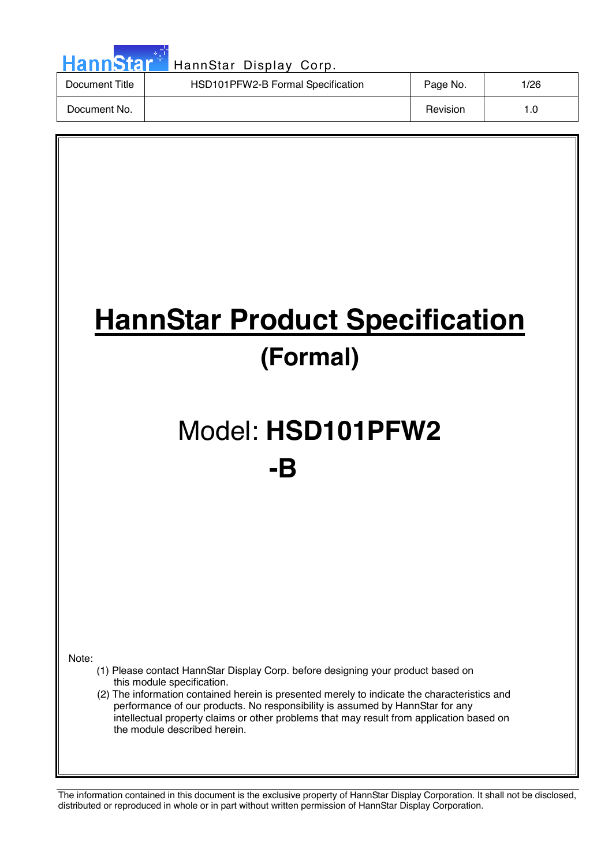| HannStar <sup>+</sup> | HannStar Display Corp.            |          |      |
|-----------------------|-----------------------------------|----------|------|
| Document Title        | HSD101PFW2-B Formal Specification | Page No. | 1/26 |
| Document No.          |                                   | Revision | 1.0  |

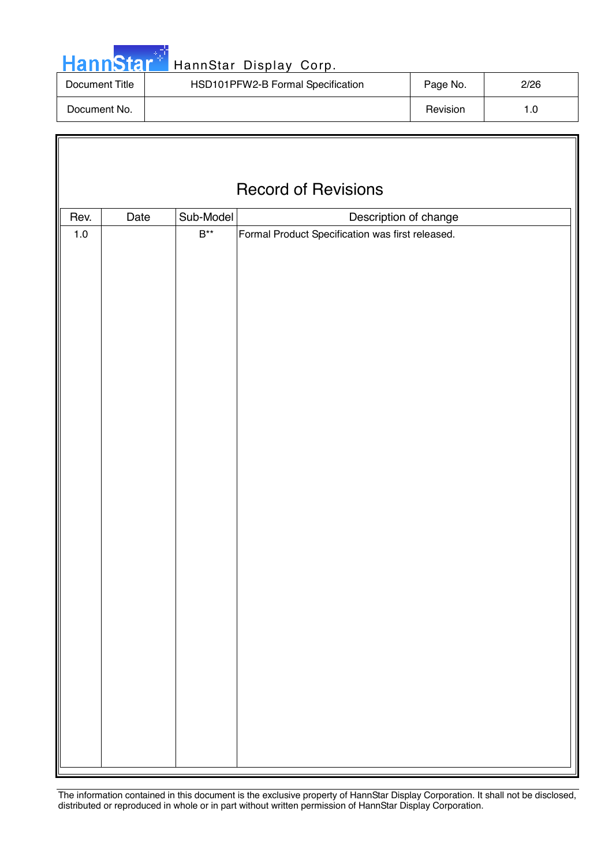|  | <b>HannStar</b> |  |
|--|-----------------|--|
|  |                 |  |

Iī

### HannStar Display Corp.

| Document Title | HSD101PFW2-B Formal Specification | Page No. | 2/26 |
|----------------|-----------------------------------|----------|------|
| Document No.   |                                   | Revision |      |

|         | <b>Record of Revisions</b> |                           |                                                  |  |  |  |
|---------|----------------------------|---------------------------|--------------------------------------------------|--|--|--|
|         |                            |                           |                                                  |  |  |  |
| Rev.    | Date                       | Sub-Model                 | Description of change                            |  |  |  |
| $1.0\,$ |                            | $\mathsf{B}^{\star\star}$ | Formal Product Specification was first released. |  |  |  |
|         |                            |                           |                                                  |  |  |  |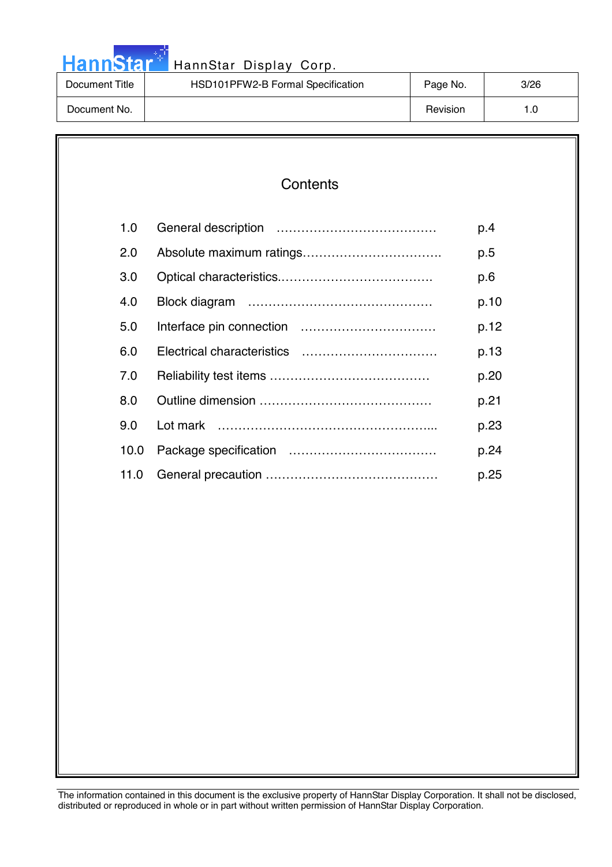|  |  | <b>HannStar</b> |  |
|--|--|-----------------|--|
|  |  |                 |  |

### HannStar Display Corp.

| Document Title | HSD101PFW2-B Formal Specification | Page No. | 3/26 |
|----------------|-----------------------------------|----------|------|
| Document No.   |                                   | Revision | 1.O  |

| 1.0  | p.4  |
|------|------|
| 2.0  | p.5  |
| 3.0  | p.6  |
| 4.0  | p.10 |
| 5.0  | p.12 |
| 6.0  | p.13 |
| 7.0  | p.20 |
| 8.0  | p.21 |
| 9.0  | p.23 |
| 10.0 | p.24 |
| 11.0 | p.25 |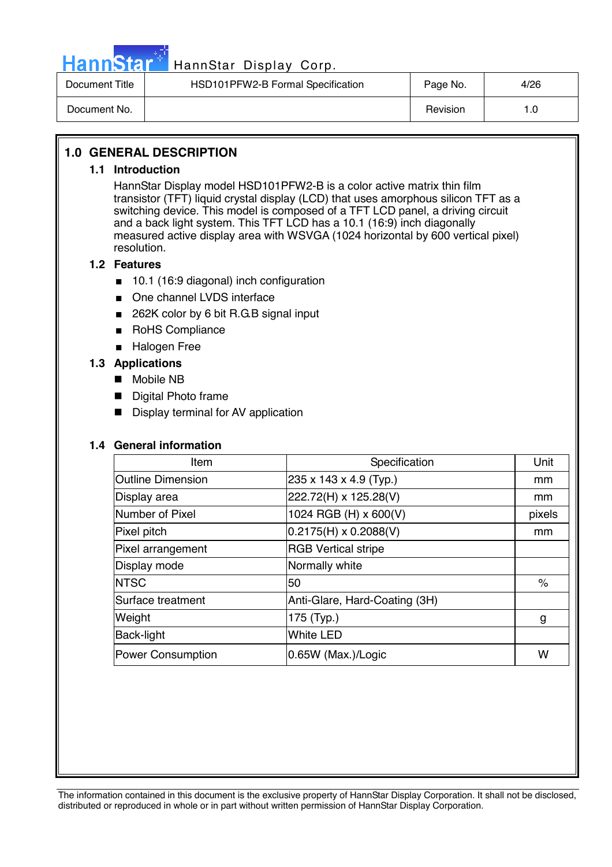

## HannStar<sup>#</sup> HannStar Display Corp.

| Document Title | HSD101PFW2-B Formal Specification | Page No. | 4/26 |
|----------------|-----------------------------------|----------|------|
| Document No.   |                                   | Revision | . .0 |

### **1.0 GENERAL DESCRIPTION**

#### **1.1 Introduction**

HannStar Display model HSD101PFW2-B is a color active matrix thin film transistor (TFT) liquid crystal display (LCD) that uses amorphous silicon TFT as a switching device. This model is composed of a TFT LCD panel, a driving circuit and a back light system. This TFT LCD has a 10.1 (16:9) inch diagonally measured active display area with WSVGA (1024 horizontal by 600 vertical pixel) resolution.

### **1.2 Features**

- 10.1 (16:9 diagonal) inch configuration
- One channel LVDS interface
- 262K color by 6 bit R.G.B signal input
- RoHS Compliance
- Halogen Free

### **1.3 Applications**

- Mobile NB
- Digital Photo frame
- Display terminal for AV application

#### **1.4 General information**

| Item                     | Specification                 | Unit   |
|--------------------------|-------------------------------|--------|
| <b>Outline Dimension</b> | 235 x 143 x 4.9 (Typ.)        | mm     |
| Display area             | 222.72(H) x 125.28(V)         | mm     |
| Number of Pixel          | 1024 RGB (H) x 600(V)         | pixels |
| Pixel pitch              | $0.2175(H) \times 0.2088(V)$  | mm     |
| Pixel arrangement        | <b>RGB Vertical stripe</b>    |        |
| Display mode             | Normally white                |        |
| <b>INTSC</b>             | 50                            | $\%$   |
| Surface treatment        | Anti-Glare, Hard-Coating (3H) |        |
| Weight                   | 175 (Typ.)                    | g      |
| Back-light               | <b>White LED</b>              |        |
| <b>Power Consumption</b> | 0.65W (Max.)/Logic            | w      |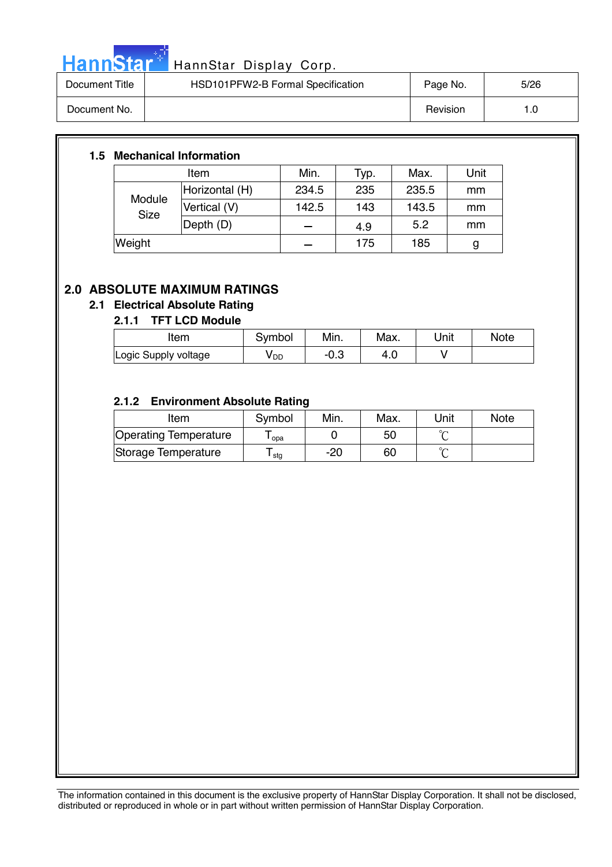

# HannStar<sup>t HannStar</sup> Display Corp.

| Document Title | HSD101PFW2-B Formal Specification | Page No. | 5/26 |
|----------------|-----------------------------------|----------|------|
| Document No.   |                                   | Revision | 1.0  |

### **1.5 Mechanical Information**

| Item                  |                | Min.  | Typ. | Max.  | Unit |
|-----------------------|----------------|-------|------|-------|------|
| Module<br><b>Size</b> | Horizontal (H) | 234.5 | 235  | 235.5 | mm   |
|                       | Vertical (V)   | 142.5 | 143  | 143.5 | mm   |
|                       | Depth (D)      |       | 4.9  | 5.2   | mm   |
| Weight                |                |       | 175  | 185   | g    |

### **2.0 ABSOLUTE MAXIMUM RATINGS**

### **2.1 Electrical Absolute Rating**

### **2.1.1 TFT LCD Module**

| Item                 | Symbol          | Min. | Max. | Unit | <b>Note</b> |
|----------------------|-----------------|------|------|------|-------------|
| Logic Supply voltage | y <sub>DD</sub> | −∪.ം | 4.U  |      |             |

### **2.1.2 Environment Absolute Rating**

| Item                  | Symbol           | Min. | Max. | Unit   | <b>Note</b> |
|-----------------------|------------------|------|------|--------|-------------|
| Operating Temperature | opa              |      | 50   |        |             |
| Storage Temperature   | <sup>l</sup> stg | -20  | 60   | $\sim$ |             |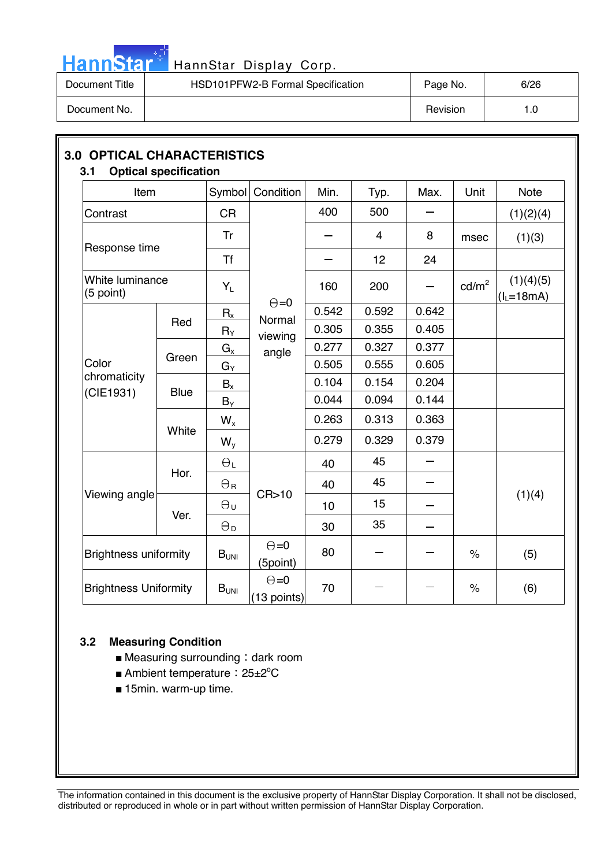

# HannStar<sup>t H</sup> HannStar Display Corp.

| Document Title | HSD101PFW2-B Formal Specification | Page No. | 6/26 |
|----------------|-----------------------------------|----------|------|
| Document No.   |                                   | Revision | 1.0  |

| Item                         |             | Symbol                | Condition                     | Min.  | Typ.           | Max.  | Unit            | <b>Note</b>               |
|------------------------------|-------------|-----------------------|-------------------------------|-------|----------------|-------|-----------------|---------------------------|
| Contrast                     |             | <b>CR</b>             |                               | 400   | 500            |       |                 | (1)(2)(4)                 |
|                              |             | Tr                    |                               |       | $\overline{4}$ | 8     | msec            | (1)(3)                    |
| Response time                |             | <b>Tf</b>             |                               |       | 12             | 24    |                 |                           |
| White luminance<br>(5 point) |             | $Y_L$                 | $\Theta = 0$                  | 160   | 200            |       | $\text{cd/m}^2$ | (1)(4)(5)<br>$(I_L=18mA)$ |
|                              |             | $R_{x}$               | Normal                        | 0.542 | 0.592          | 0.642 |                 |                           |
|                              | Red         | $R_Y$                 | viewing                       | 0.305 | 0.355          | 0.405 |                 |                           |
|                              | Green       | $G_{x}$               | angle                         | 0.277 | 0.327          | 0.377 |                 |                           |
| Color                        |             | $G_\mathsf{Y}$        |                               | 0.505 | 0.555          | 0.605 |                 |                           |
| chromaticity                 | <b>Blue</b> | $B_{x}$               |                               | 0.104 | 0.154          | 0.204 |                 |                           |
| (CIE1931)                    |             | $B_Y$                 |                               | 0.044 | 0.094          | 0.144 |                 |                           |
|                              | White       | $W_{x}$               |                               | 0.263 | 0.313          | 0.363 |                 |                           |
|                              |             | $W_{y}$               |                               | 0.279 | 0.329          | 0.379 |                 |                           |
|                              | Hor.        | $\Theta_L$            |                               | 40    | 45             |       |                 |                           |
|                              |             | $\Theta_{\rm R}$      |                               | 40    | 45             | -     |                 |                           |
| Viewing angle                |             | $\Theta_{\mathsf{U}}$ | CR > 10                       | 10    | 15             |       |                 | (1)(4)                    |
|                              | Ver.        | $\Theta_{\mathsf{D}}$ |                               | 30    | 35             |       |                 |                           |
| <b>Brightness uniformity</b> |             | $B_{UNI}$             | $\Theta = 0$<br>(5point)      | 80    |                |       | $\%$            | (5)                       |
| <b>Brightness Uniformity</b> |             | $B_{UNI}$             | $\Theta = 0$<br>$(13$ points) | 70    |                |       | $\%$            | (6)                       |

### **3.2 Measuring Condition**

- $\blacksquare$  Measuring surrounding : dark room
- Ambient temperature: 25±2°C
- 15min. warm-up time.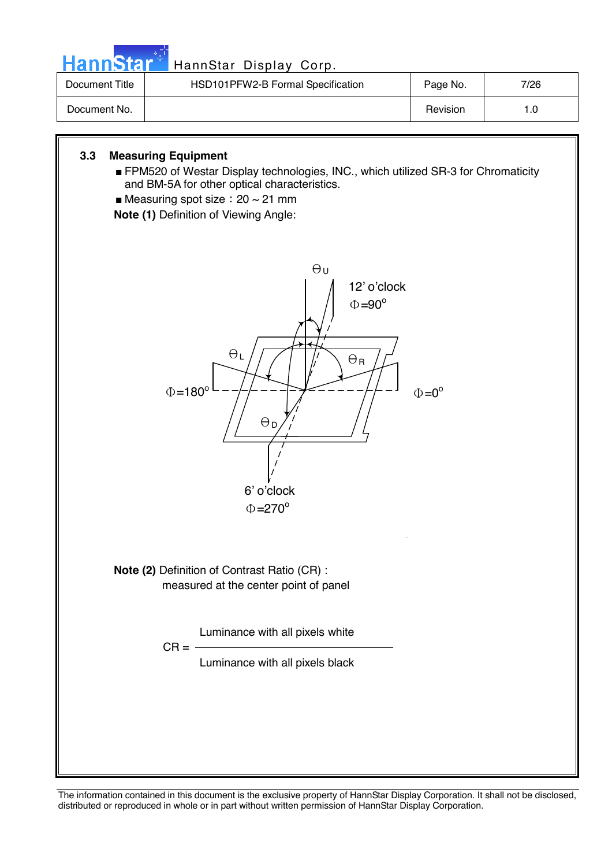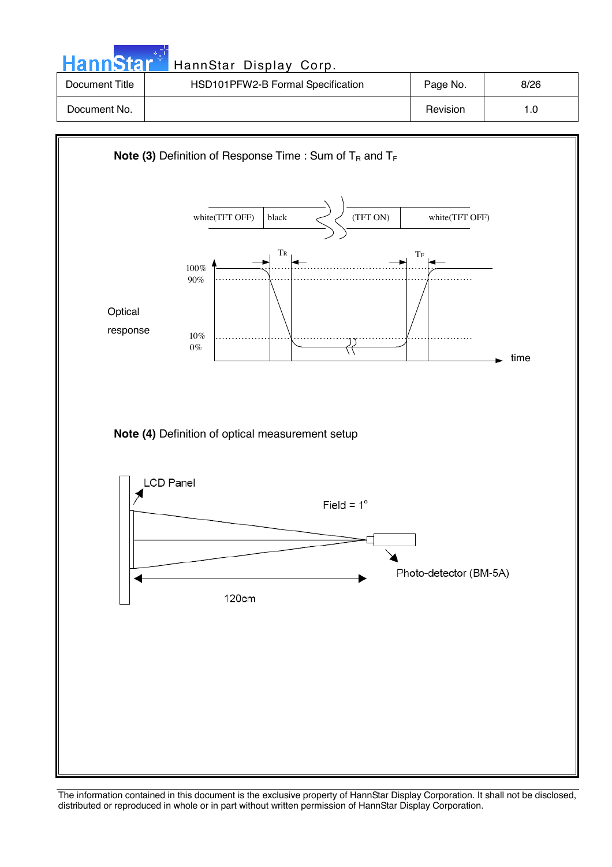| HannStar <sup>+</sup> | HannStar Display Corp.            |          |      |
|-----------------------|-----------------------------------|----------|------|
| Document Title        | HSD101PFW2-B Formal Specification | Page No. | 8/26 |
| Document No.          |                                   | Revision | 1.0  |

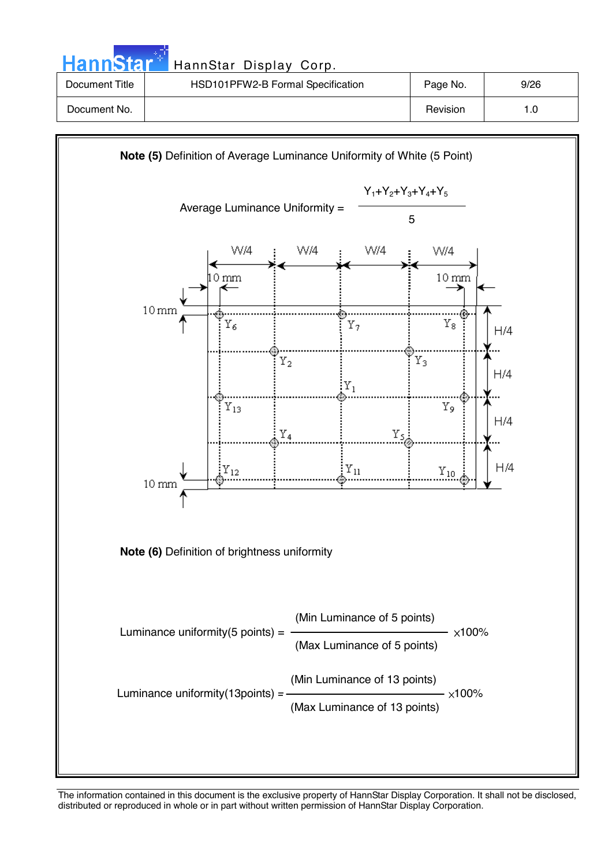| <b>HannStar</b> | HannStar Display Corp.            |          |      |
|-----------------|-----------------------------------|----------|------|
| Document Title  | HSD101PFW2-B Formal Specification | Page No. | 9/26 |
| Document No.    |                                   | Revision | 1.0  |
|                 |                                   |          |      |

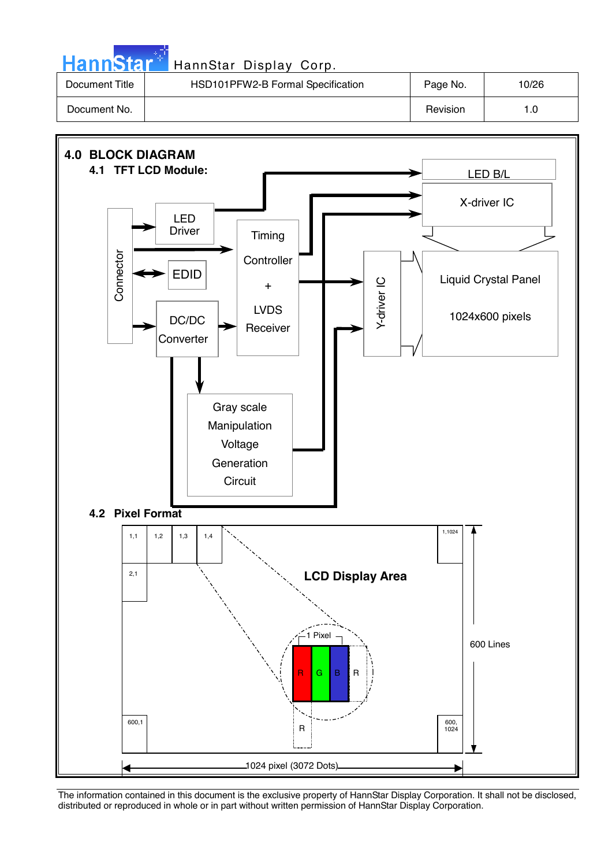| HannStar <sup>+</sup> | HannStar Display Corp.            |          |       |
|-----------------------|-----------------------------------|----------|-------|
| Document Title        | HSD101PFW2-B Formal Specification | Page No. | 10/26 |
| Document No.          |                                   | Revision | 1.0   |

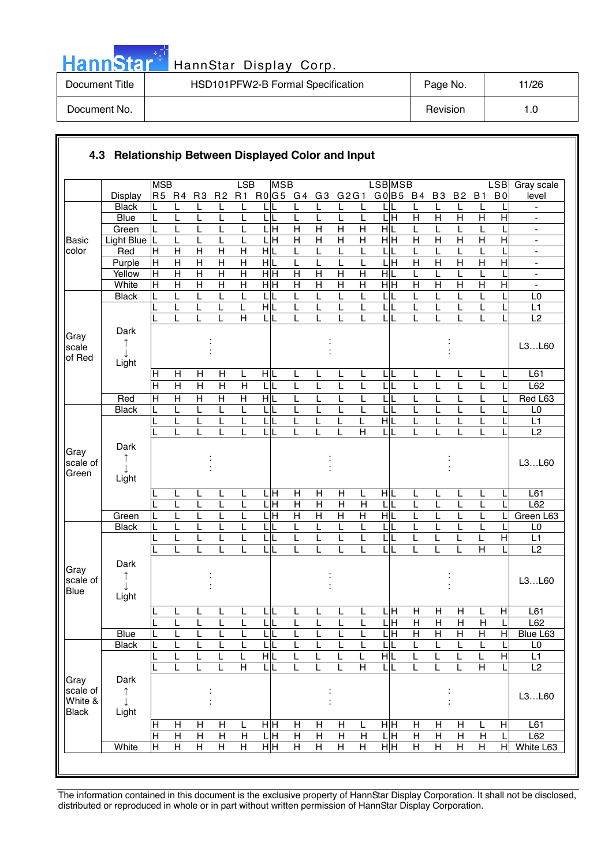|  | Hann <b>Star</b> |  |
|--|------------------|--|
|  |                  |  |
|  |                  |  |

### HannStar Display Corp.

| Document Title | HSD101PFW2-B Formal Specification | Page No. | 11/26 |
|----------------|-----------------------------------|----------|-------|
| Document No.   |                                   | Revision | 1.0   |

|                                             |                    | <b>MSB</b>        |                     |                         |                                | LSB                     | <b>MSB</b>              |                         |                |                |                         | <b>LSB</b> MSB               |                     |                     |                         |                         | <b>LSB</b>                | Gray scale                                     |
|---------------------------------------------|--------------------|-------------------|---------------------|-------------------------|--------------------------------|-------------------------|-------------------------|-------------------------|----------------|----------------|-------------------------|------------------------------|---------------------|---------------------|-------------------------|-------------------------|---------------------------|------------------------------------------------|
|                                             | Display            | R5 R4             |                     | R <sub>3</sub>          | R <sub>2</sub>                 | R1                      | R0G5 G4                 |                         | G3             | G2G1           |                         | G0 B5 B4                     |                     | <b>B3</b>           | <b>B2</b>               | <b>B1</b>               | B <sub>0</sub>            | level                                          |
|                                             | <b>Black</b>       |                   | L                   | L                       | L                              |                         |                         |                         |                |                | L                       |                              | L                   | L                   | L                       |                         |                           |                                                |
|                                             | <b>Blue</b>        | L                 | L                   | L                       |                                | L                       | L<br>L                  | L                       | L              | L              | L                       | 듴                            | $\overline{H}$      | $\overline{H}$      | $\overline{\mathsf{H}}$ | $\overline{H}$          | $\overline{H}$            |                                                |
|                                             | Green              | L                 | L                   | L                       |                                | L                       | ГH                      | $\overline{H}$          | $\overline{H}$ | $\overline{H}$ | $\overline{H}$          | $\frac{1}{\sqrt{2}}$         | L                   | L                   | L                       |                         |                           | $\blacksquare$                                 |
| <b>Basic</b>                                | Light Blue         | L                 | L                   | L                       | L                              | L                       | LН                      | $\overline{H}$          | $\mathsf{H}$   | $\mathsf{H}$   | H                       | H H                          | $\overline{H}$      | H                   | $\overline{H}$          | $\overline{H}$          | Η                         | $\blacksquare$                                 |
| color                                       | Red                | $\mathsf{H}$<br>H | H<br>$\overline{H}$ | H<br>$\overline{H}$     | $\mathsf{H}$<br>$\overline{H}$ | Н<br>$\overline{H}$     | HIL<br>НĿ               | L<br>L                  |                | L<br>L         | L                       | L<br>L<br>Ξ                  | L<br>$\overline{H}$ | L<br>$\overline{H}$ | L<br>$\overline{H}$     | $\overline{\mathsf{H}}$ | $\overline{H}$            | $\overline{\phantom{a}}$                       |
|                                             | Purple<br>Yellow   | H                 | $\overline{H}$      | $\overline{\mathsf{H}}$ | $\overline{\mathsf{H}}$        | $\overline{\mathsf{H}}$ | $\overline{H}$ H        | $\overline{\mathsf{H}}$ | $\overline{H}$ | $\overline{H}$ | L<br>$\overline{H}$     | H L                          | L                   | L                   | L                       | L                       |                           | $\blacksquare$<br>$\qquad \qquad \blacksquare$ |
|                                             | White              | H                 | $\overline{H}$      | $\overline{H}$          | $\overline{\mathsf{H}}$        | $\overline{H}$          | $\overline{H}$ H        | $\overline{H}$          | $\overline{H}$ | $\overline{H}$ | $\overline{H}$          | H H                          | $\overline{H}$      | $\overline{H}$      | $\overline{H}$          | $\overline{H}$          | $\overline{H}$            | ä,                                             |
|                                             | <b>Black</b>       | L                 | L                   | L                       | L                              | L                       | L                       | L                       | L              | L              | L                       | L                            | L                   | L                   | L                       | L                       |                           | L <sub>0</sub>                                 |
|                                             |                    | L                 | L                   | L                       | L                              | L                       | HIL                     | L                       | L              | L              | L                       | L<br>L                       | L                   | L                   | L                       | L                       |                           | L1                                             |
|                                             |                    |                   |                     | L                       | L                              | $\overline{H}$          | L                       | L                       |                | L              | L                       | L<br>L                       | L                   |                     | L                       | L                       |                           | L2                                             |
| Gray<br>scale<br>of Red                     | Dark<br>↑          |                   |                     |                         |                                |                         |                         |                         |                |                |                         |                              |                     |                     |                         |                         |                           | L3L60                                          |
|                                             | Light              |                   |                     |                         |                                |                         |                         |                         |                |                |                         |                              |                     |                     |                         |                         |                           |                                                |
|                                             |                    | H                 | H                   | $\mathsf{H}$            | Н                              | L                       | HL                      | L                       | L              | L              | L                       | IL.<br>L                     | L                   | L                   | L                       | L                       |                           | L61                                            |
|                                             |                    | $\overline{H}$    | $\overline{H}$      | $\overline{\mathsf{H}}$ | $\overline{\mathsf{H}}$        | $\overline{H}$          | L<br>L                  | L                       | L              | L              | L                       | L                            | L                   | L                   | L                       | L                       |                           | L62                                            |
|                                             | Red                | $\overline{H}$    | $\overline{H}$      | $\overline{H}$          | $\overline{H}$                 | $\overline{H}$          | H L                     | L                       | L              | L              | L                       | L                            | L                   | L                   | L                       | L                       |                           | Red L63                                        |
|                                             | <b>Black</b>       | L                 | L                   | Г                       | L                              | L                       | L<br>L                  | L                       | L              | L              | L                       | L                            | L                   | L                   | L                       | L                       |                           | L <sub>0</sub>                                 |
|                                             |                    |                   | L<br>L              | L<br>L                  | L                              | L<br>L                  | L<br>L                  | L<br>L                  | L              | L<br>L         | L<br>$\overline{H}$     | HL<br>L                      | L<br>L              | L                   | L<br>L                  | L<br>L                  |                           | L1<br>L2                                       |
| Gray<br>scale of<br>Green                   | Dark<br>↑<br>Light |                   |                     |                         |                                |                         |                         |                         |                |                |                         |                              |                     |                     |                         |                         |                           | L3L60                                          |
|                                             |                    |                   | L                   | L                       | L                              | L                       | . н<br>L                | Н                       | H              | Η              | L                       | HL                           | L                   | L                   | L                       | L                       | L                         | L61                                            |
|                                             |                    |                   | L                   | L                       | L                              | L                       | .H<br>I                 | $\overline{H}$          | $\overline{H}$ | $\overline{H}$ | $\mathsf{H}$            | L                            | L                   | L                   | L                       |                         |                           | L62                                            |
|                                             | Green              |                   | L                   | L                       |                                |                         | $\overline{\mathsf{H}}$ | $\overline{H}$          | $\overline{H}$ | $\overline{H}$ | $\overline{H}$          | H L                          | L                   |                     | L                       |                         |                           | Green L63                                      |
|                                             | <b>Black</b>       |                   | L                   | L                       |                                | L                       | L                       | L                       | L              | L              | L                       | L                            | L                   |                     | L                       |                         |                           | L <sub>0</sub>                                 |
|                                             |                    |                   | L<br>L              | L<br>L                  |                                |                         | L<br>L                  | L<br>L                  | L              | L              | L<br>L                  | L<br>L                       | L<br>L              | L                   | L<br>L                  | $\overline{\mathsf{H}}$ | $\overline{H}$            | L1<br>L2                                       |
|                                             |                    |                   |                     |                         |                                |                         |                         |                         |                |                |                         |                              |                     |                     |                         |                         |                           |                                                |
| Gray<br>scale of<br>Blue                    | Dark<br>Light      |                   |                     |                         |                                |                         |                         |                         |                |                |                         |                              |                     |                     |                         |                         |                           | L3L60                                          |
|                                             |                    |                   | <u>ь</u>            | ь                       | ┕                              | щ                       | ►                       | ш                       | ┕              | ┕              |                         | ЦH                           | $\overline{H}$      | $\mathsf{H}$        | $\mathsf{H}$            | ь                       | H                         | L61                                            |
|                                             |                    | L                 | L                   | L                       | L                              | L                       | $\mathsf{L}$<br>L       | L                       | L              | L              | L                       | ЦH                           | H                   | $\mathsf{H}$        | H                       | $\mathsf{H}$            | L                         | L62                                            |
|                                             | <b>Blue</b>        |                   | L                   | L                       | L                              | L                       | LI                      | L                       |                | L              | L                       | $\overline{\mathsf{H}}$<br>L | $\overline{H}$      | $\overline{H}$      | $\overline{H}$          | Н                       | H                         | Blue L63                                       |
|                                             | <b>Black</b>       |                   | L                   | L                       |                                | L                       | 니                       | L                       |                | L              | L                       | L                            | L                   | L                   | L                       | L                       | L                         | $\mathsf{L0}$                                  |
|                                             |                    |                   | L                   | L                       |                                | L                       | H L                     | L                       |                | L              | L                       | НL                           | L                   | L                   | L                       |                         | $\overline{H}$            | L1                                             |
|                                             |                    |                   | L                   | L                       | L                              | $\overline{H}$          | LL                      | L                       | L              | L              | $\overline{\mathsf{H}}$ | LL                           | L                   | L                   | L                       | $\overline{H}$          |                           | L2                                             |
| Gray<br>scale of<br>White &<br><b>Black</b> | Dark<br>↑<br>Light |                   |                     |                         |                                |                         |                         |                         |                |                |                         |                              |                     |                     |                         |                         |                           | L3L60                                          |
|                                             |                    | H                 | H                   | H                       | н                              | L                       | нĮн                     | H                       | Н              | H              | L                       | нH                           | H                   | Н                   | H                       | L                       | $\boldsymbol{\mathsf{H}}$ | L61                                            |
|                                             |                    | $\overline{H}$    | $\mathsf{H}$        | $\overline{H}$          | $\overline{H}$                 | H                       | LН                      | $\overline{H}$          | $\overline{H}$ | $\overline{H}$ | H                       | LН                           | $\overline{H}$      | $\mathsf{H}$        | $\overline{H}$          | $\mathsf{H}$            |                           | L62                                            |
|                                             | White              | $\pm$             | H                   | $\overline{H}$          | $\overline{H}$                 | H                       | H H                     | $\overline{H}$          | Н              | Η              | $\overline{H}$          | H H                          | Н                   | H                   | Н                       | $\overline{H}$          | $\overline{H}$            | White L63                                      |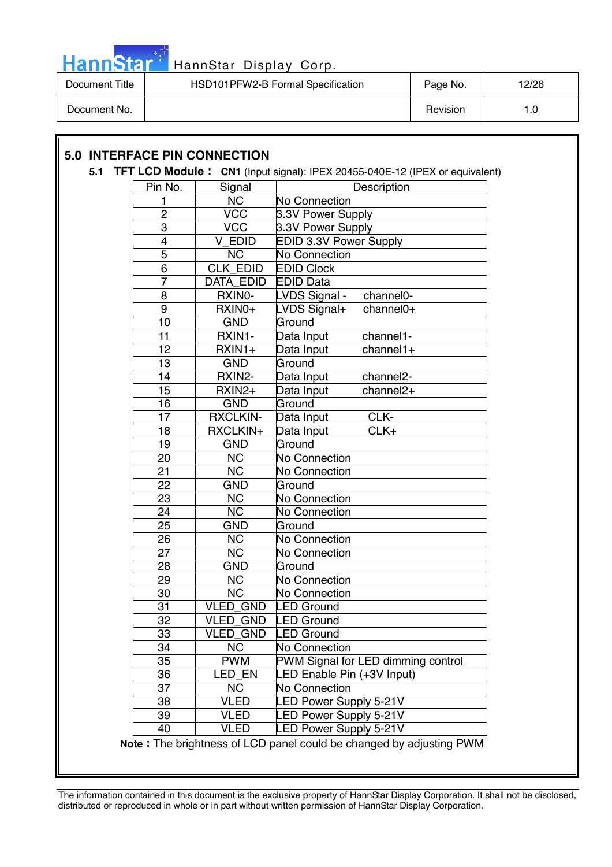

| Document Title | HSD101PFW2-B Formal Specification | Page No. | 12/26 |
|----------------|-----------------------------------|----------|-------|
| Document No.   |                                   | Revision | 1.0   |

### **5.0 INTERFACE PIN CONNECTION**

#### **5.1 TFT LCD Module : CN1** (Input signal): IPEX 20455-040E-12 (IPEX or equivalent)

| Pin No.         | Signal                 | Description                                                         |  |  |  |  |  |
|-----------------|------------------------|---------------------------------------------------------------------|--|--|--|--|--|
| 1               | <b>NC</b>              | No Connection                                                       |  |  |  |  |  |
| $\overline{2}$  | V <sub>CC</sub>        | 3.3V Power Supply                                                   |  |  |  |  |  |
| $\overline{3}$  | $\sqrt{CC}$            | 3.3V Power Supply                                                   |  |  |  |  |  |
| 4               | V EDID                 | EDID 3.3V Power Supply                                              |  |  |  |  |  |
| $\overline{5}$  | <b>NC</b>              | No Connection                                                       |  |  |  |  |  |
| $\overline{6}$  | <b>CLK EDID</b>        | <b>EDID Clock</b>                                                   |  |  |  |  |  |
| $\overline{7}$  | <b>DATA EDID</b>       | <b>EDID Data</b>                                                    |  |  |  |  |  |
| 8               | RXINO-                 | LVDS Signal -<br>channel0-                                          |  |  |  |  |  |
| $\overline{9}$  | RXIN0+                 | LVDS Signal+<br>channel0+                                           |  |  |  |  |  |
| 10              | <b>GND</b>             | Ground                                                              |  |  |  |  |  |
| 11              | RXIN1-                 | Data Input<br>channel1-                                             |  |  |  |  |  |
| 12              | $RXIN1+$               | $channel1+$<br>Data Input                                           |  |  |  |  |  |
| $\overline{13}$ | <b>GND</b>             | Ground                                                              |  |  |  |  |  |
| 14              | RXIN2-                 | channel <sub>2</sub> -<br>Data Input                                |  |  |  |  |  |
| 15              | RXIN2+                 | channel2+<br>Data Input                                             |  |  |  |  |  |
| 16              | <b>GND</b>             | Ground                                                              |  |  |  |  |  |
| 17              | <b>RXCLKIN-</b>        | CLK-<br>Data Input                                                  |  |  |  |  |  |
| 18              | RXCLKIN+               | CLK+<br>Data Input                                                  |  |  |  |  |  |
| 19              | <b>GND</b>             | Ground                                                              |  |  |  |  |  |
| 20              | <b>NC</b>              | <b>No Connection</b>                                                |  |  |  |  |  |
| 21              | <b>NC</b>              | No Connection                                                       |  |  |  |  |  |
| $\overline{22}$ | <b>GND</b>             | Ground                                                              |  |  |  |  |  |
| 23              | <b>NC</b>              | No Connection                                                       |  |  |  |  |  |
| $\overline{24}$ | $\overline{\text{NC}}$ | <b>No Connection</b>                                                |  |  |  |  |  |
| 25              | <b>GND</b>             | Ground                                                              |  |  |  |  |  |
| 26              | <b>NC</b>              | No Connection                                                       |  |  |  |  |  |
| 27              | <b>NC</b>              | No Connection                                                       |  |  |  |  |  |
| 28              | <b>GND</b>             | Ground                                                              |  |  |  |  |  |
| 29              | <b>NC</b>              | No Connection                                                       |  |  |  |  |  |
| 30              | <b>NC</b>              | <b>No Connection</b>                                                |  |  |  |  |  |
| $\overline{31}$ | <b>VLED GND</b>        | <b>LED Ground</b>                                                   |  |  |  |  |  |
| 32              | <b>VLED GND</b>        | <b>LED Ground</b>                                                   |  |  |  |  |  |
| 33              | <b>VLED GND</b>        | <b>LED Ground</b>                                                   |  |  |  |  |  |
| 34              | <b>NC</b>              | No Connection                                                       |  |  |  |  |  |
| 35              | <b>PWM</b>             | PWM Signal for LED dimming control                                  |  |  |  |  |  |
| 36              | LED EN                 | LED Enable Pin (+3V Input)                                          |  |  |  |  |  |
| 37              | <b>NC</b>              | No Connection                                                       |  |  |  |  |  |
| 38              | <b>VLED</b>            | <b>LED Power Supply 5-21V</b>                                       |  |  |  |  |  |
| 39              | <b>VLED</b>            | <b>LED Power Supply 5-21V</b>                                       |  |  |  |  |  |
| 40              | <b>VLED</b>            | <b>LED Power Supply 5-21V</b>                                       |  |  |  |  |  |
|                 |                        | Note: The brightness of LCD panel could be changed by adjusting PWM |  |  |  |  |  |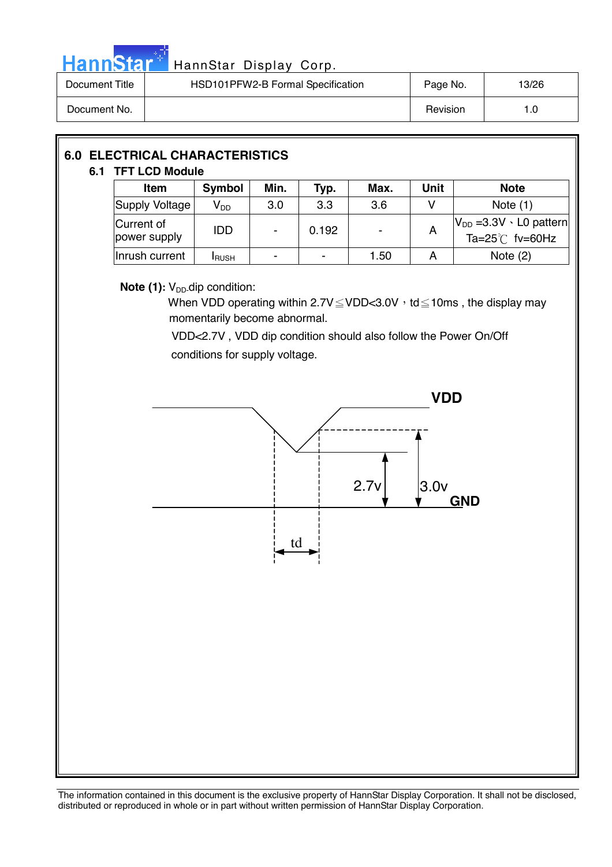

# HannStar<sup>#</sup> HannStar Display Corp.

| Document Title | HSD101PFW2-B Formal Specification | Page No. | 13/26 |
|----------------|-----------------------------------|----------|-------|
| Document No.   |                                   | Revision | l .O  |

| <b>6.0 ELECTRICAL CHARACTERISTICS</b><br>6.1 TFT LCD Module |                            |                            |      |       |      |             |                                                                 |  |
|-------------------------------------------------------------|----------------------------|----------------------------|------|-------|------|-------------|-----------------------------------------------------------------|--|
|                                                             | <b>Item</b>                | <b>Symbol</b>              | Min. | Typ.  | Max. | <b>Unit</b> | <b>Note</b>                                                     |  |
|                                                             | Supply Voltage             | $\mathsf{V}_{\mathsf{DD}}$ | 3.0  | 3.3   | 3.6  |             | Note $(1)$                                                      |  |
|                                                             | Current of<br>power supply | <b>IDD</b>                 |      | 0.192 | ۰    | A           | $ V_{DD} = 3.3V \cdot L0$ pattern<br>Ta= $25^{\circ}$ C fv=60Hz |  |
|                                                             | Inrush current             | <b>I</b> RUSH              |      |       | 1.50 | A           | Note $(2)$                                                      |  |

### **Note (1):** V<sub>DD</sub>-dip condition:

When VDD operating within  $2.7V \leq VDD < 3.0V$ , td  $\leq 10$ ms, the display may momentarily become abnormal.

 VDD<2.7V , VDD dip condition should also follow the Power On/Off conditions for supply voltage.

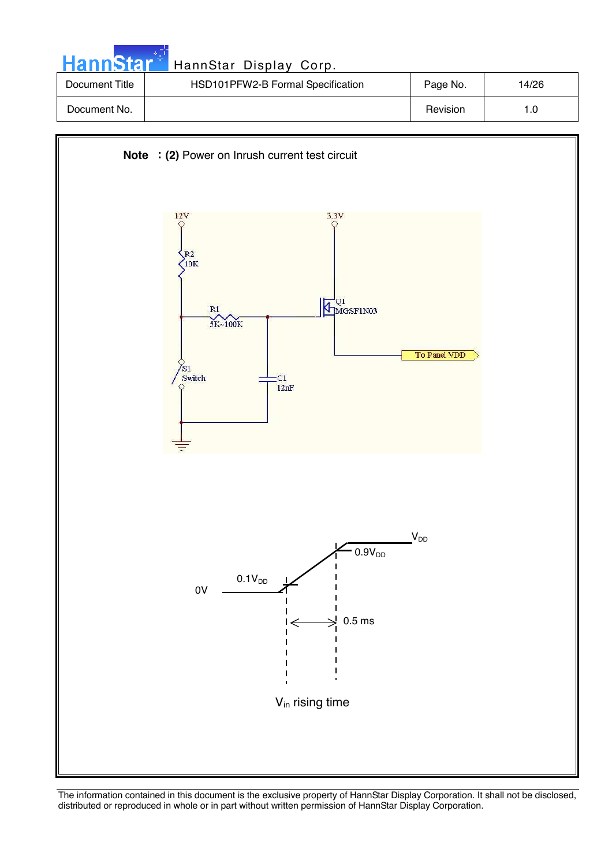| <b>HannStart</b> | HannStar Display Corp.            |          |       |
|------------------|-----------------------------------|----------|-------|
| Document Title   | HSD101PFW2-B Formal Specification | Page No. | 14/26 |
| Document No.     |                                   | Revision | 1.0   |

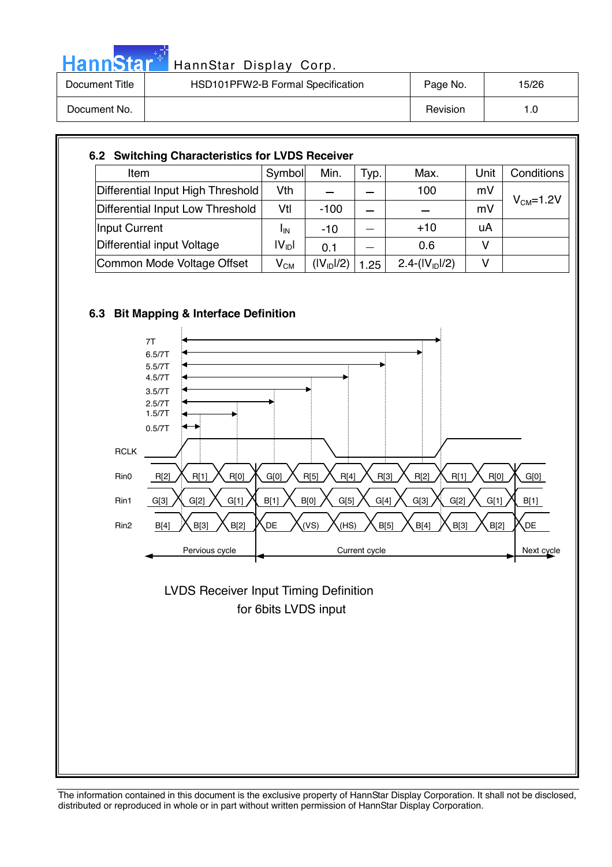| HannStar <sup>**</sup> | HannStar Display Corp.            |          |       |
|------------------------|-----------------------------------|----------|-------|
| Document Title         | HSD101PFW2-B Formal Specification | Page No. | 15/26 |
| Document No.           |                                   | Revision | 1.0   |

| Item                              | Symbol                     | Min.                   | Typ. | Max.            | Unit | Conditions      |
|-----------------------------------|----------------------------|------------------------|------|-----------------|------|-----------------|
| Differential Input High Threshold | Vth                        |                        |      | 100             | mV   |                 |
| Differential Input Low Threshold  | Vtl                        | $-100$                 |      |                 | mV   | $V_{CM} = 1.2V$ |
| Input Current                     | ΙıΝ                        | $-10$                  |      | $+10$           | uA   |                 |
| Differential input Voltage        | IV <sub>ID</sub> I         | 0.1                    |      | 0.6             | v    |                 |
| Common Mode Voltage Offset        | $\mathsf{V}_{\mathsf{CM}}$ | (IV <sub>ID</sub> ]/2) | 1.25 | $2.4-(IVID)/2)$ | V    |                 |



مراجين



 for 6bits LVDS input LVDS Receiver Input Timing Definition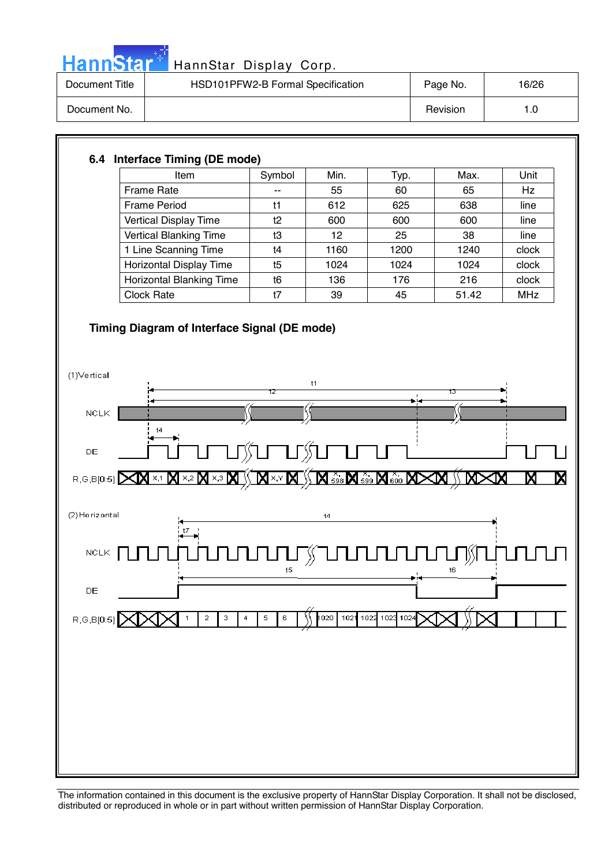

# HannStar<sup>#</sup> HannStar Display Corp.

| Document Title | HSD101PFW2-B Formal Specification | Page No. | 16/26 |
|----------------|-----------------------------------|----------|-------|
| Document No.   |                                   | Revision | 1.0   |

### **6.4 Interface Timing (DE mode)**

| <b>Item</b>                     | Symbol | Min. | Тyр. | Max.  | Unit       |
|---------------------------------|--------|------|------|-------|------------|
| Frame Rate                      | --     | 55   | 60   | 65    | Hz         |
| <b>Frame Period</b>             | t1     | 612  | 625  | 638   | line       |
| Vertical Display Time           | t2     | 600  | 600  | 600   | line       |
| <b>Vertical Blanking Time</b>   | t3     | 12   | 25   | 38    | line       |
| 1 Line Scanning Time            | t4     | 1160 | 1200 | 1240  | clock      |
| Horizontal Display Time         | t5     | 1024 | 1024 | 1024  | clock      |
| <b>Horizontal Blanking Time</b> | t6     | 136  | 176  | 216   | clock      |
| <b>Clock Rate</b>               | t7     | 39   | 45   | 51.42 | <b>MHz</b> |

### **Timing Diagram of Interface Signal (DE mode)**

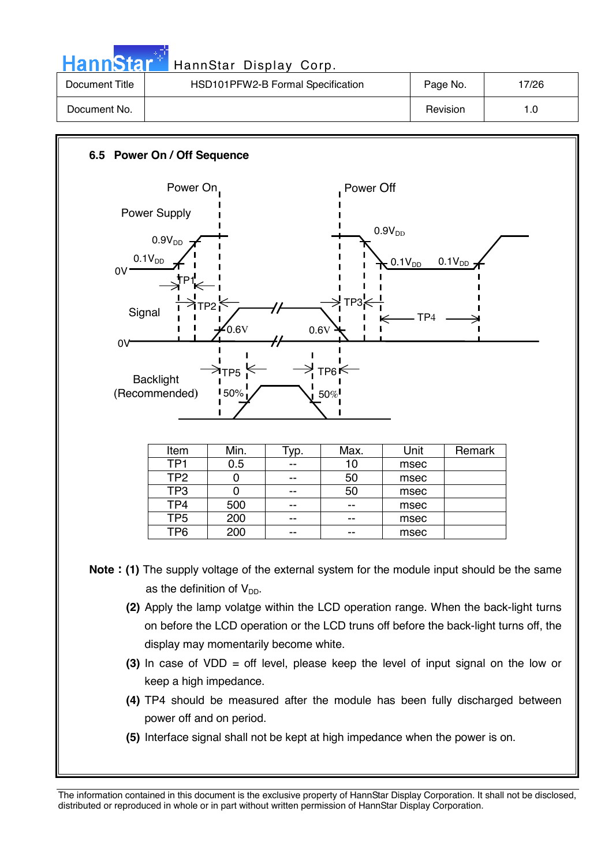| <b>HannStar</b> | HannStar Display Corp.            |          |       |
|-----------------|-----------------------------------|----------|-------|
| Document Title  | HSD101PFW2-B Formal Specification | Page No. | 17/26 |
| Document No.    |                                   | Revision | 1.0   |

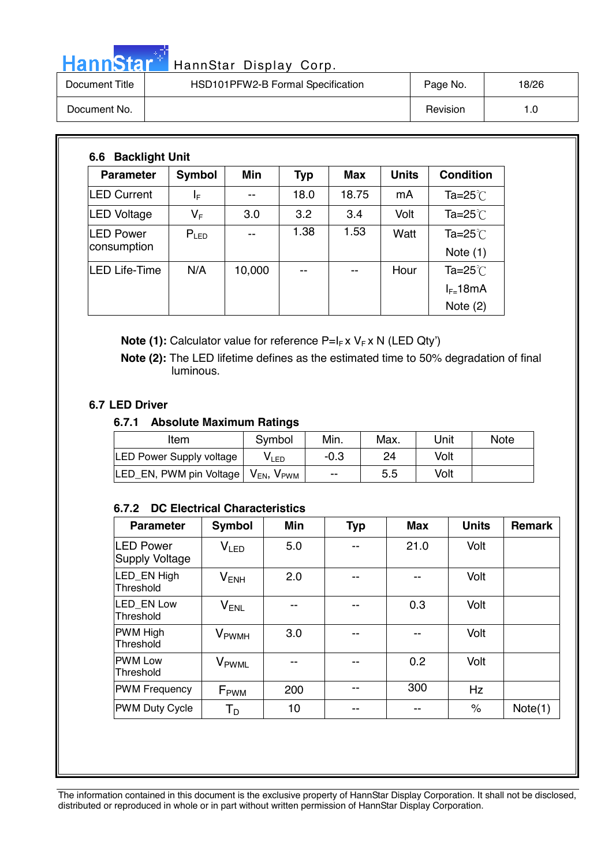# HannStar<sup>t HannStar</sup> Display Corp.

| Document Title | HSD101PFW2-B Formal Specification | Page No. | 18/26 |
|----------------|-----------------------------------|----------|-------|
| Document No.   |                                   | Revision | 0. ا  |

| <b>Parameter</b>                | <b>Symbol</b> | Min    | <b>Typ</b> | <b>Max</b> | <b>Units</b> | <b>Condition</b>               |
|---------------------------------|---------------|--------|------------|------------|--------------|--------------------------------|
| <b>LED Current</b>              | ΙF            | --     | 18.0       | 18.75      | mA           | Ta=25 $°C$                     |
| LED Voltage                     | VF            | 3.0    | 3.2        | 3.4        | Volt         | Ta=25 $°C$                     |
| <b>LED Power</b><br>consumption | $P_{LED}$     | --     | 1.38       | 1.53       | Watt         | Ta= $25^{\circ}$<br>Note $(1)$ |
| LED Life-Time                   | N/A           | 10,000 | --         | --         | Hour         | Ta=25 $°C$                     |
|                                 |               |        |            |            |              | $I_{F=}$ 18mA                  |
|                                 |               |        |            |            |              | Note $(2)$                     |

**Note (1):** Calculator value for reference P=I<sub>F</sub> x V<sub>F</sub> x N (LED Qty')

 **Note (2):** The LED lifetime defines as the estimated time to 50% degradation of final luminous.

### **6.7 LED Driver**

### **6.7.1 Absolute Maximum Ratings**

| Item                                                         | Symbol           | Min.   | Max. | Unit | <b>Note</b> |
|--------------------------------------------------------------|------------------|--------|------|------|-------------|
| <b>LED Power Supply voltage</b>                              | V <sub>LED</sub> | $-0.3$ | 24   | Volt |             |
| LED_EN, PWM pin Voltage   V <sub>EN</sub> , V <sub>PWM</sub> |                  | --     | 5.5  | Volt |             |

### **6.7.2 DC Electrical Characteristics**

| <b>Parameter</b>                          | Symbol                   | <b>Min</b> | <b>Typ</b> | <b>Max</b> | <b>Units</b> | <b>Remark</b> |
|-------------------------------------------|--------------------------|------------|------------|------------|--------------|---------------|
| <b>LED Power</b><br><b>Supply Voltage</b> | V <sub>LED</sub>         | 5.0        |            | 21.0       | Volt         |               |
| LED EN High<br>Threshold                  | $V_{ENH}$                | 2.0        |            |            | Volt         |               |
| LED EN Low<br>Threshold                   | $V_{ENL}$                |            |            | 0.3        | Volt         |               |
| PWM High<br>Threshold                     | <b>V</b> <sub>PWMH</sub> | 3.0        |            |            | Volt         |               |
| <b>IPWM Low</b><br>Threshold              | V <sub>PWML</sub>        | --         | --         | 0.2        | Volt         |               |
| <b>PWM Frequency</b>                      | $F_{\rm PWM}$            | 200        |            | 300        | Hz           |               |
| <b>PWM Duty Cycle</b>                     | Т <sub>р</sub>           | 10         | --         | --         | $\%$         | Note(1)       |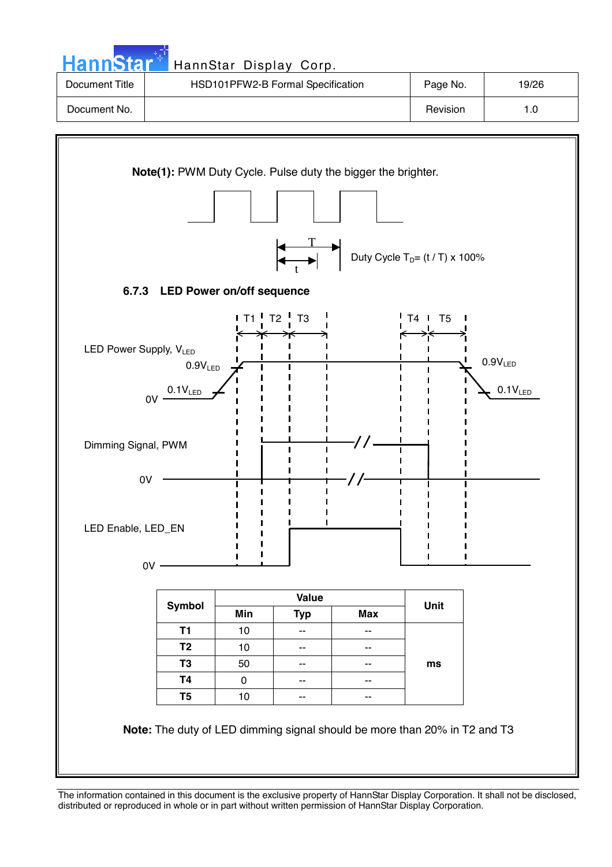

The information contained in this document is the exclusive property of HannStar Display Corporation. It shall not be disclosed, distributed or reproduced in whole or in part without written permission of HannStar Display Corporation.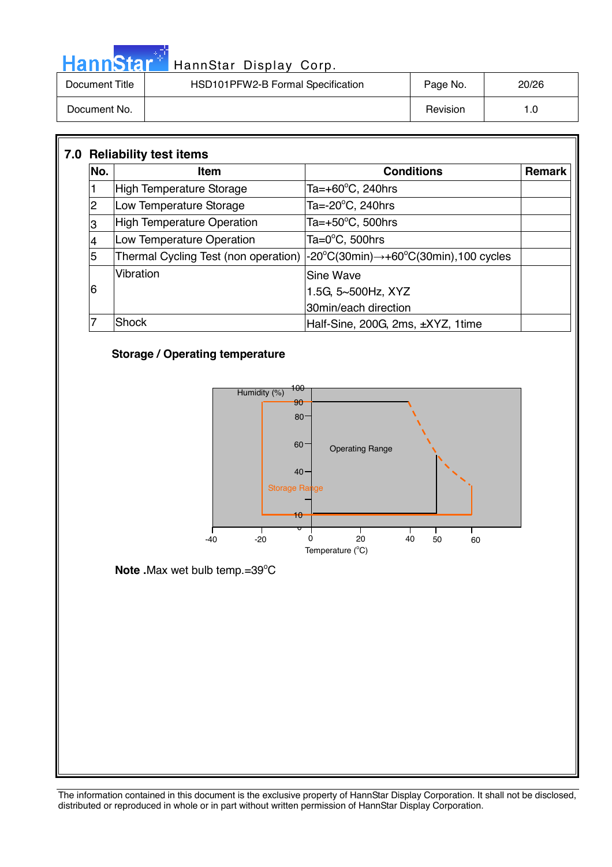|                | HannStar <sup>+</sup> HannStar Display Corp. |          |       |
|----------------|----------------------------------------------|----------|-------|
| Document Title | HSD101PFW2-B Formal Specification            | Page No. | 20/26 |
| Document No.   |                                              | Revision | 1.0   |

| No. | <b>Item</b>                       | <b>Conditions</b>                                                                                                      | Remark |
|-----|-----------------------------------|------------------------------------------------------------------------------------------------------------------------|--------|
|     | High Temperature Storage          | Ta=+60 $\degree$ C, 240hrs                                                                                             |        |
| 2   | Low Temperature Storage           | Ta= $-20^{\circ}$ C, 240hrs                                                                                            |        |
| 3   | <b>High Temperature Operation</b> | Ta= $+50^{\circ}$ C, 500hrs                                                                                            |        |
|     | Low Temperature Operation         | Ta=0°C, 500hrs                                                                                                         |        |
| 5   |                                   | Thermal Cycling Test (non operation) $ -20^{\circ}C(30\text{min}) \rightarrow +60^{\circ}C(30\text{min})$ , 100 cycles |        |
|     | Vibration                         | Sine Wave                                                                                                              |        |
| 6   |                                   | 1.5G, 5~500Hz, XYZ                                                                                                     |        |
|     |                                   | 30min/each direction                                                                                                   |        |
|     | Shock                             | Half-Sine, 200G, 2ms, ±XYZ, 1time                                                                                      |        |

### **Storage / Operating temperature**

موليات

Ī



Note .Max wet bulb temp.=39°C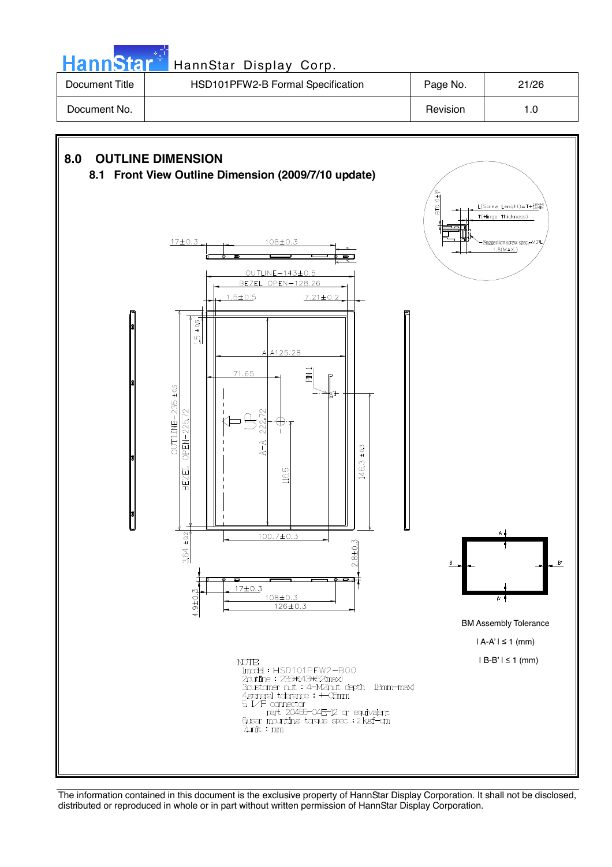**Hann**Star HannStar Display Corp. Document Title | HSD101PFW2-B Formal Specification | Page No. | 21/26

**8.0 OUTLINE DIMENSION** 



**8.1 Front View Outline Dimension (2009/7/10 update)**



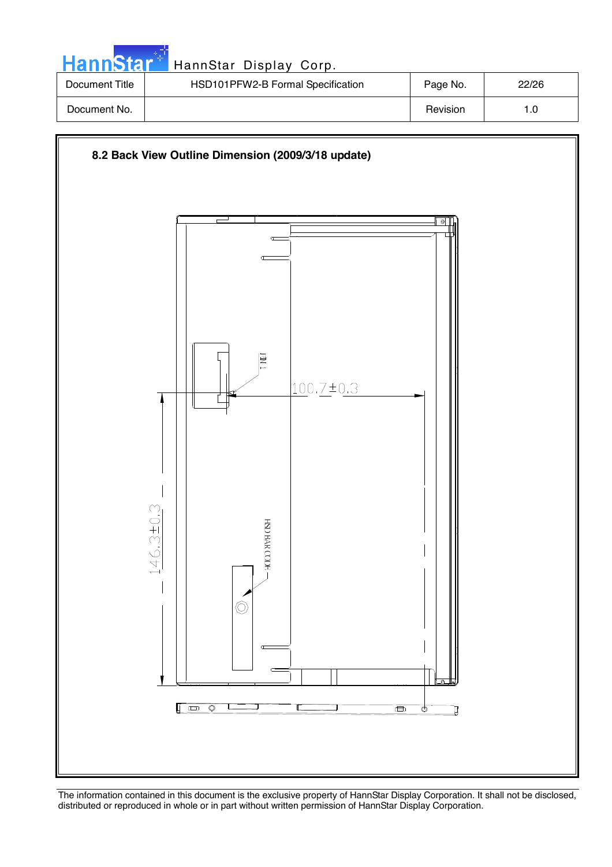| <b>HannStar</b> | HannStar Display Corp.            |          |       |
|-----------------|-----------------------------------|----------|-------|
| Document Title  | HSD101PFW2-B Formal Specification | Page No. | 22/26 |
| Document No.    |                                   | Revision | 1.0   |

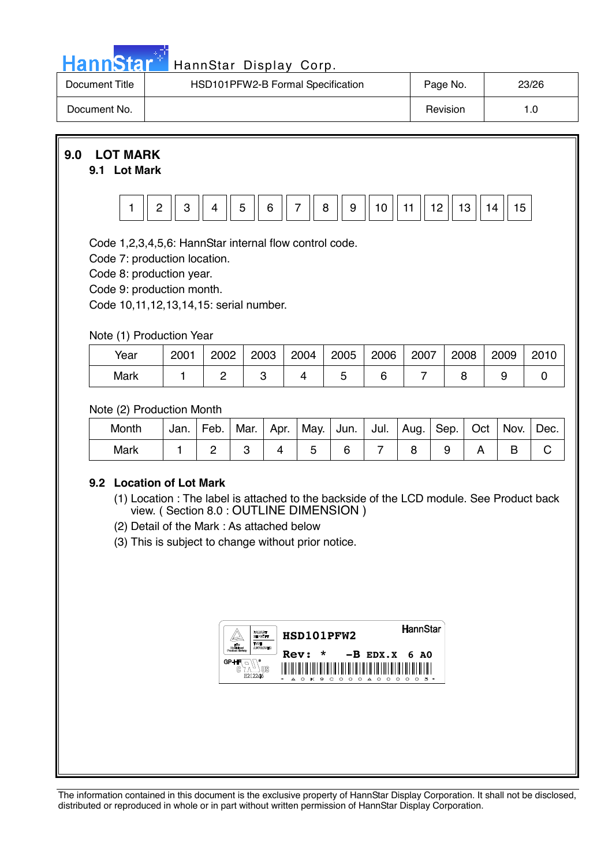| <u>ann<sup>,</sup></u> | . To i |  |
|------------------------|--------|--|

### HannStar Display Corp.

| Document Title | HSD101PFW2-B Formal Specification | Page No. | 23/26 |
|----------------|-----------------------------------|----------|-------|
| Document No.   |                                   | Revision | 0. ا  |

**9.0 LOT MARK** 

### **9.1 Lot Mark**



Code 1,2,3,4,5,6: HannStar internal flow control code.

Code 7: production location.

Code 8: production year.

Code 9: production month.

Code 10,11,12,13,14,15: serial number.

### Note (1) Production Year

| Year | 2001 | 2002 | 2003 | 2004 | 2005 | 2006 | 2007 | 2008 | 2009 | 2010 |
|------|------|------|------|------|------|------|------|------|------|------|
| Mark |      |      |      |      |      |      |      |      |      |      |

### Note (2) Production Month

| Month | Jan. | Feb. | Mar. |  | Apr.   May.   Jun.   Jul.   Aug.   Sep.   Oct |  |  | Nov. | Dec. |
|-------|------|------|------|--|-----------------------------------------------|--|--|------|------|
| Mark  |      |      |      |  |                                               |  |  |      |      |

### **9.2 Location of Lot Mark**

- (1) Location : The label is attached to the backside of the LCD module. See Product back view. ( Section 8.0 : OUTLINE DIMENSION )
- (2) Detail of the Mark : As attached below
- (3) This is subject to change without prior notice.

|                       | <b>BAKLARATT</b><br>TWEE<br><b>AIRFRORADO</b> | HSD101PFW2                                                                                                                  | <b>HannStar</b>                                         |
|-----------------------|-----------------------------------------------|-----------------------------------------------------------------------------------------------------------------------------|---------------------------------------------------------|
| GP-HI<br>ß<br>E212246 | MS                                            | $\ast$<br><b>Rev:</b><br>$-B$ EDX.X 6 AO<br>Ш<br>║<br>I<br>║<br>I<br>Ш<br>Ш<br>Ш<br>Ⅲ<br>0 K 9 C 0 0 0 A 0<br>0<br>200<br>ᅀ | ║<br>║<br>║<br>║<br>$\circ$<br>$\Omega$<br>C<br>. т. н. |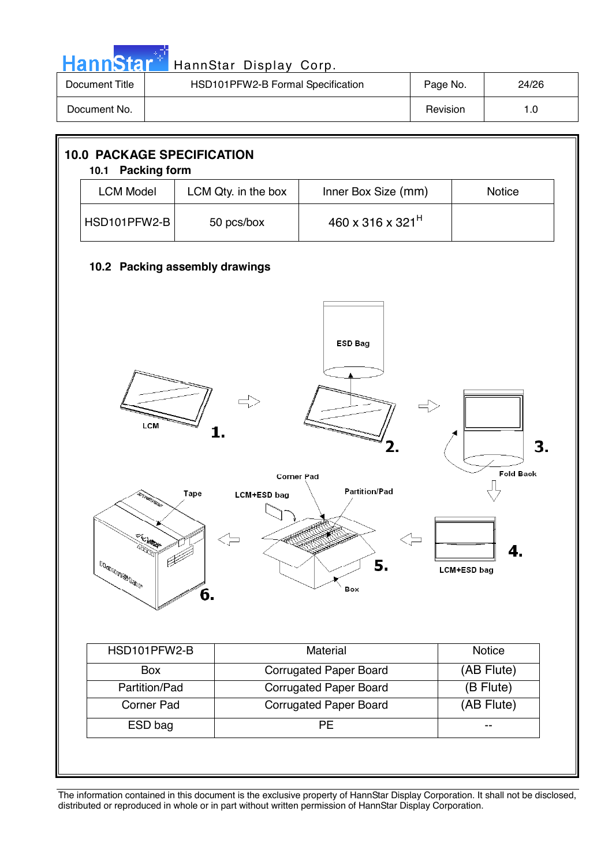| HannStar <sup>*</sup> | HannStar Display Corp.            |          |       |
|-----------------------|-----------------------------------|----------|-------|
| Document Title        | HSD101PFW2-B Formal Specification | Page No. | 24/26 |
| Document No.          |                                   | Revision | 1.0   |

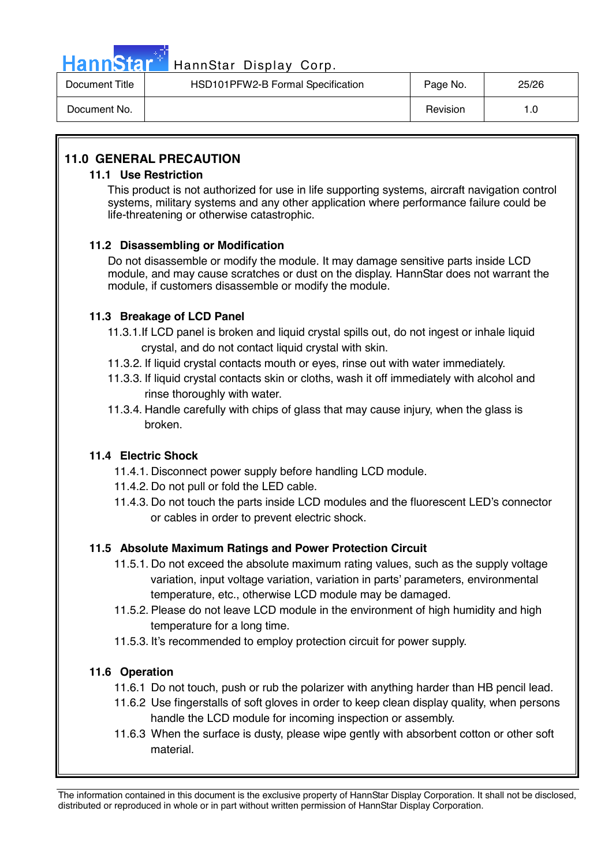

## HannStar<sup>47</sup> HannStar Display Corp.

| Document Title | HSD101PFW2-B Formal Specification | Page No. | 25/26 |
|----------------|-----------------------------------|----------|-------|
| Document No.   |                                   | Revision |       |

### **11.0 GENERAL PRECAUTION**

### **11.1 Use Restriction**

This product is not authorized for use in life supporting systems, aircraft navigation control systems, military systems and any other application where performance failure could be life-threatening or otherwise catastrophic.

### **11.2 Disassembling or Modification**

 Do not disassemble or modify the module. It may damage sensitive parts inside LCD module, and may cause scratches or dust on the display. HannStar does not warrant the module, if customers disassemble or modify the module.

### **11.3 Breakage of LCD Panel**

- 11.3.1.If LCD panel is broken and liquid crystal spills out, do not ingest or inhale liquid crystal, and do not contact liquid crystal with skin.
- 11.3.2. If liquid crystal contacts mouth or eyes, rinse out with water immediately.
- 11.3.3. If liquid crystal contacts skin or cloths, wash it off immediately with alcohol and rinse thoroughly with water.
- 11.3.4. Handle carefully with chips of glass that may cause injury, when the glass is broken.

### **11.4 Electric Shock**

- 11.4.1. Disconnect power supply before handling LCD module.
- 11.4.2. Do not pull or fold the LED cable.
- 11.4.3. Do not touch the parts inside LCD modules and the fluorescent LED's connector or cables in order to prevent electric shock.

### **11.5 Absolute Maximum Ratings and Power Protection Circuit**

- 11.5.1. Do not exceed the absolute maximum rating values, such as the supply voltage variation, input voltage variation, variation in parts' parameters, environmental temperature, etc., otherwise LCD module may be damaged.
- 11.5.2. Please do not leave LCD module in the environment of high humidity and high temperature for a long time.
- 11.5.3. It's recommended to employ protection circuit for power supply.

### **11.6 Operation**

- 11.6.1 Do not touch, push or rub the polarizer with anything harder than HB pencil lead.
- 11.6.2 Use fingerstalls of soft gloves in order to keep clean display quality, when persons handle the LCD module for incoming inspection or assembly.
- 11.6.3 When the surface is dusty, please wipe gently with absorbent cotton or other soft material.